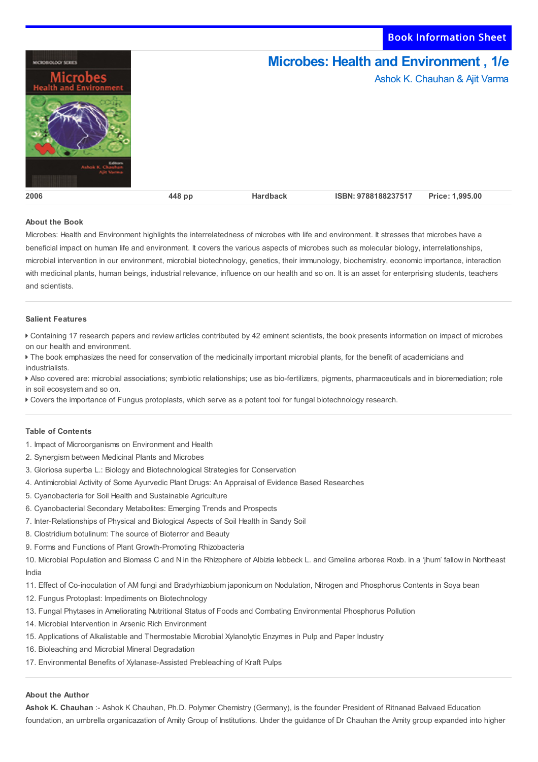Book Information Sheet



## **About the Book**

Microbes: Health and Environment highlights the interrelatedness of microbes with life and environment. It stresses that microbes have a beneficial impact on human life and environment. It covers the various aspects of microbes such as molecular biology, interrelationships, microbial intervention in our environment, microbial biotechnology, genetics, their immunology, biochemistry, economic importance, interaction with medicinal plants, human beings, industrial relevance, influence on our health and so on. It is an asset for enterprising students, teachers and scientists.

## **Salient Features**

 Containing 17 research papers and review articles contributed by 42 eminent scientists, the book presents information on impact of microbes on our health and environment.

 The book emphasizes the need for conservation of the medicinally important microbial plants, for the benefit of academicians and industrialists.

 Also covered are: microbial associations; symbiotic relationships; use as bio-fertilizers, pigments, pharmaceuticals and in bioremediation; role in soil ecosystem and so on.

Covers the importance of Fungus protoplasts, which serve as a potent tool for fungal biotechnology research.

## **Table of Contents**

- 1. Impact of Microorganisms on Environment and Health
- 2. Synergism between Medicinal Plants and Microbes
- 3. Gloriosa superba L.: Biology and Biotechnological Strategies for Conservation
- 4. Antimicrobial Activity of Some Ayurvedic Plant Drugs: An Appraisal of Evidence Based Researches
- 5. Cyanobacteria for Soil Health and Sustainable Agriculture
- 6. Cyanobacterial Secondary Metabolites: Emerging Trends and Prospects
- 7. Inter-Relationships of Physical and Biological Aspects of Soil Health in Sandy Soil
- 8. Clostridium botulinum: The source of Bioterror and Beauty
- 9. Forms and Functions of Plant Growth-Promoting Rhizobacteria

10. Microbial Population and Biomass C and N in the Rhizophere of Albizia Iebbeck L. and Gmelina arborea Roxb. in a 'jhum' fallow in Northeast India

11. Effect of Co-inoculation of AM fungi and Bradyrhizobium japonicum on Nodulation, Nitrogen and Phosphorus Contents in Soya bean

- 12. Fungus Protoplast: Impediments on Biotechnology
- 13. Fungal Phytases in Ameliorating Nutritional Status of Foods and Combating Environmental Phosphorus Pollution
- 14. Microbial Intervention in Arsenic Rich Environment
- 15. Applications of Alkalistable and Thermostable Microbial Xylanolytic Enzymes in Pulp and Paper Industry
- 16. Bioleaching and Microbial Mineral Degradation
- 17. Environmental Benefits of Xylanase-Assisted Prebleaching of Kraft Pulps

## **About the Author**

**Ashok K. Chauhan** :- Ashok K Chauhan, Ph.D. Polymer Chemistry (Germany), is the founder President of Ritnanad Balvaed Education foundation, an umbrella organicazation of Amity Group of Institutions. Under the guidance of Dr Chauhan the Amity group expanded into higher